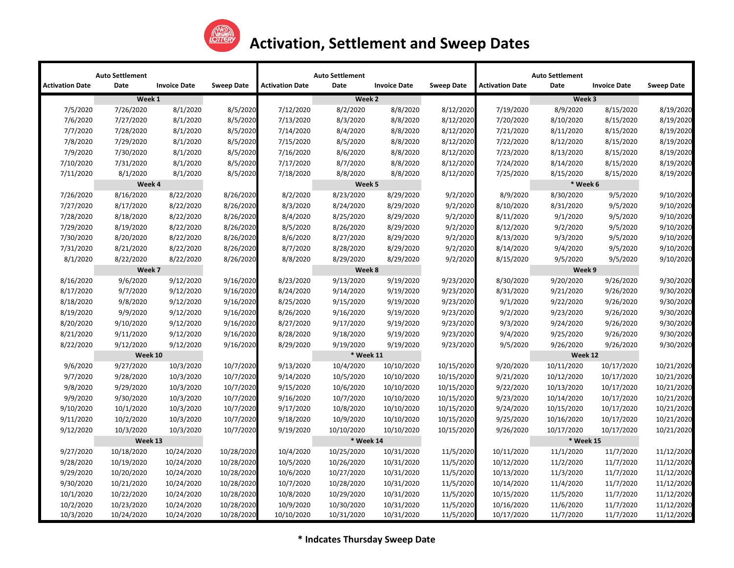

|                        | <b>Auto Settlement</b> |                     |                   |                        | <b>Auto Settlement</b> |                     |                   |                        | <b>Auto Settlement</b> |                     |                   |
|------------------------|------------------------|---------------------|-------------------|------------------------|------------------------|---------------------|-------------------|------------------------|------------------------|---------------------|-------------------|
| <b>Activation Date</b> | Date                   | <b>Invoice Date</b> | <b>Sweep Date</b> | <b>Activation Date</b> | Date                   | <b>Invoice Date</b> | <b>Sweep Date</b> | <b>Activation Date</b> | Date                   | <b>Invoice Date</b> | <b>Sweep Date</b> |
|                        | Week 1                 |                     |                   |                        | Week 2                 |                     |                   |                        | Week 3                 |                     |                   |
| 7/5/2020               | 7/26/2020              | 8/1/2020            | 8/5/2020          | 7/12/2020              | 8/2/2020               | 8/8/2020            | 8/12/2020         | 7/19/2020              | 8/9/2020               | 8/15/2020           | 8/19/2020         |
| 7/6/2020               | 7/27/2020              | 8/1/2020            | 8/5/2020          | 7/13/2020              | 8/3/2020               | 8/8/2020            | 8/12/2020         | 7/20/2020              | 8/10/2020              | 8/15/2020           | 8/19/2020         |
| 7/7/2020               | 7/28/2020              | 8/1/2020            | 8/5/2020          | 7/14/2020              | 8/4/2020               | 8/8/2020            | 8/12/2020         | 7/21/2020              | 8/11/2020              | 8/15/2020           | 8/19/2020         |
| 7/8/2020               | 7/29/2020              | 8/1/2020            | 8/5/2020          | 7/15/2020              | 8/5/2020               | 8/8/2020            | 8/12/2020         | 7/22/2020              | 8/12/2020              | 8/15/2020           | 8/19/2020         |
| 7/9/2020               | 7/30/2020              | 8/1/2020            | 8/5/2020          | 7/16/2020              | 8/6/2020               | 8/8/2020            | 8/12/2020         | 7/23/2020              | 8/13/2020              | 8/15/2020           | 8/19/2020         |
| 7/10/2020              | 7/31/2020              | 8/1/2020            | 8/5/2020          | 7/17/2020              | 8/7/2020               | 8/8/2020            | 8/12/2020         | 7/24/2020              | 8/14/2020              | 8/15/2020           | 8/19/2020         |
| 7/11/2020              | 8/1/2020               | 8/1/2020            | 8/5/2020          | 7/18/2020              | 8/8/2020               | 8/8/2020            | 8/12/2020         | 7/25/2020              | 8/15/2020              | 8/15/2020           | 8/19/2020         |
|                        | Week 4                 |                     |                   |                        | Week 5                 |                     |                   |                        | * Week 6               |                     |                   |
| 7/26/2020              | 8/16/2020              | 8/22/2020           | 8/26/2020         | 8/2/2020               | 8/23/2020              | 8/29/2020           | 9/2/2020          | 8/9/2020               | 8/30/2020              | 9/5/2020            | 9/10/2020         |
| 7/27/2020              | 8/17/2020              | 8/22/2020           | 8/26/2020         | 8/3/2020               | 8/24/2020              | 8/29/2020           | 9/2/2020          | 8/10/2020              | 8/31/2020              | 9/5/2020            | 9/10/2020         |
| 7/28/2020              | 8/18/2020              | 8/22/2020           | 8/26/2020         | 8/4/2020               | 8/25/2020              | 8/29/2020           | 9/2/2020          | 8/11/2020              | 9/1/2020               | 9/5/2020            | 9/10/2020         |
| 7/29/2020              | 8/19/2020              | 8/22/2020           | 8/26/2020         | 8/5/2020               | 8/26/2020              | 8/29/2020           | 9/2/2020          | 8/12/2020              | 9/2/2020               | 9/5/2020            | 9/10/2020         |
| 7/30/2020              | 8/20/2020              | 8/22/2020           | 8/26/2020         | 8/6/2020               | 8/27/2020              | 8/29/2020           | 9/2/2020          | 8/13/2020              | 9/3/2020               | 9/5/2020            | 9/10/2020         |
| 7/31/2020              | 8/21/2020              | 8/22/2020           | 8/26/2020         | 8/7/2020               | 8/28/2020              | 8/29/2020           | 9/2/2020          | 8/14/2020              | 9/4/2020               | 9/5/2020            | 9/10/2020         |
| 8/1/2020               | 8/22/2020              | 8/22/2020           | 8/26/2020         | 8/8/2020               | 8/29/2020              | 8/29/2020           | 9/2/2020          | 8/15/2020              | 9/5/2020               | 9/5/2020            | 9/10/2020         |
|                        | Week 7                 |                     |                   |                        | Week 8                 |                     |                   |                        | Week 9                 |                     |                   |
| 8/16/2020              | 9/6/2020               | 9/12/2020           | 9/16/2020         | 8/23/2020              | 9/13/2020              | 9/19/2020           | 9/23/2020         | 8/30/2020              | 9/20/2020              | 9/26/2020           | 9/30/2020         |
| 8/17/2020              | 9/7/2020               | 9/12/2020           | 9/16/2020         | 8/24/2020              | 9/14/2020              | 9/19/2020           | 9/23/2020         | 8/31/2020              | 9/21/2020              | 9/26/2020           | 9/30/2020         |
| 8/18/2020              | 9/8/2020               | 9/12/2020           | 9/16/2020         | 8/25/2020              | 9/15/2020              | 9/19/2020           | 9/23/2020         | 9/1/2020               | 9/22/2020              | 9/26/2020           | 9/30/2020         |
| 8/19/2020              | 9/9/2020               | 9/12/2020           | 9/16/2020         | 8/26/2020              | 9/16/2020              | 9/19/2020           | 9/23/2020         | 9/2/2020               | 9/23/2020              | 9/26/2020           | 9/30/2020         |
| 8/20/2020              | 9/10/2020              | 9/12/2020           | 9/16/2020         | 8/27/2020              | 9/17/2020              | 9/19/2020           | 9/23/2020         | 9/3/2020               | 9/24/2020              | 9/26/2020           | 9/30/2020         |
| 8/21/2020              | 9/11/2020              | 9/12/2020           | 9/16/2020         | 8/28/2020              | 9/18/2020              | 9/19/2020           | 9/23/2020         | 9/4/2020               | 9/25/2020              | 9/26/2020           | 9/30/2020         |
| 8/22/2020              | 9/12/2020              | 9/12/2020           | 9/16/2020         | 8/29/2020              | 9/19/2020              | 9/19/2020           | 9/23/2020         | 9/5/2020               | 9/26/2020              | 9/26/2020           | 9/30/2020         |
|                        | Week 10                |                     |                   | * Week 11              |                        |                     |                   |                        | Week 12                |                     |                   |
| 9/6/2020               | 9/27/2020              | 10/3/2020           | 10/7/2020         | 9/13/2020              | 10/4/2020              | 10/10/2020          | 10/15/2020        | 9/20/2020              | 10/11/2020             | 10/17/2020          | 10/21/2020        |
| 9/7/2020               | 9/28/2020              | 10/3/2020           | 10/7/2020         | 9/14/2020              | 10/5/2020              | 10/10/2020          | 10/15/2020        | 9/21/2020              | 10/12/2020             | 10/17/2020          | 10/21/2020        |
| 9/8/2020               | 9/29/2020              | 10/3/2020           | 10/7/2020         | 9/15/2020              | 10/6/2020              | 10/10/2020          | 10/15/2020        | 9/22/2020              | 10/13/2020             | 10/17/2020          | 10/21/2020        |
| 9/9/2020               | 9/30/2020              | 10/3/2020           | 10/7/2020         | 9/16/2020              | 10/7/2020              | 10/10/2020          | 10/15/2020        | 9/23/2020              | 10/14/2020             | 10/17/2020          | 10/21/2020        |
| 9/10/2020              | 10/1/2020              | 10/3/2020           | 10/7/2020         | 9/17/2020              | 10/8/2020              | 10/10/2020          | 10/15/2020        | 9/24/2020              | 10/15/2020             | 10/17/2020          | 10/21/2020        |
| 9/11/2020              | 10/2/2020              | 10/3/2020           | 10/7/2020         | 9/18/2020              | 10/9/2020              | 10/10/2020          | 10/15/2020        | 9/25/2020              | 10/16/2020             | 10/17/2020          | 10/21/2020        |
| 9/12/2020              | 10/3/2020              | 10/3/2020           | 10/7/2020         | 9/19/2020              | 10/10/2020             | 10/10/2020          | 10/15/2020        | 9/26/2020              | 10/17/2020             | 10/17/2020          | 10/21/2020        |
|                        | Week 13                |                     |                   | * Week 14              |                        |                     |                   | * Week 15              |                        |                     |                   |
| 9/27/2020              | 10/18/2020             | 10/24/2020          | 10/28/2020        | 10/4/2020              | 10/25/2020             | 10/31/2020          | 11/5/2020         | 10/11/2020             | 11/1/2020              | 11/7/2020           | 11/12/2020        |
| 9/28/2020              | 10/19/2020             | 10/24/2020          | 10/28/2020        | 10/5/2020              | 10/26/2020             | 10/31/2020          | 11/5/2020         | 10/12/2020             | 11/2/2020              | 11/7/2020           | 11/12/2020        |
| 9/29/2020              | 10/20/2020             | 10/24/2020          | 10/28/2020        | 10/6/2020              | 10/27/2020             | 10/31/2020          | 11/5/2020         | 10/13/2020             | 11/3/2020              | 11/7/2020           | 11/12/2020        |
| 9/30/2020              | 10/21/2020             | 10/24/2020          | 10/28/2020        | 10/7/2020              | 10/28/2020             | 10/31/2020          | 11/5/2020         | 10/14/2020             | 11/4/2020              | 11/7/2020           | 11/12/2020        |
| 10/1/2020              | 10/22/2020             | 10/24/2020          | 10/28/2020        | 10/8/2020              | 10/29/2020             | 10/31/2020          | 11/5/2020         | 10/15/2020             | 11/5/2020              | 11/7/2020           | 11/12/2020        |
| 10/2/2020              | 10/23/2020             | 10/24/2020          | 10/28/2020        | 10/9/2020              | 10/30/2020             | 10/31/2020          | 11/5/2020         | 10/16/2020             | 11/6/2020              | 11/7/2020           | 11/12/2020        |
| 10/3/2020              | 10/24/2020             | 10/24/2020          | 10/28/2020        | 10/10/2020             | 10/31/2020             | 10/31/2020          | 11/5/2020         | 10/17/2020             | 11/7/2020              | 11/7/2020           | 11/12/2020        |

**\* Indcates Thursday Sweep Date**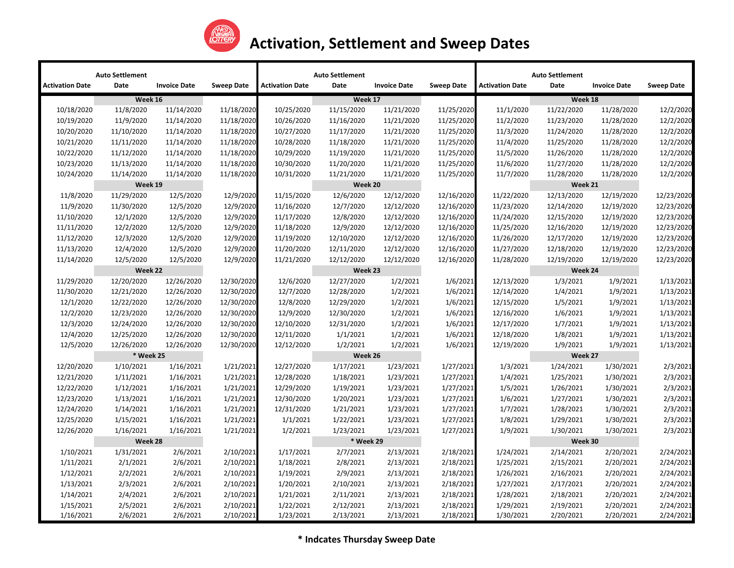

|                        | <b>Auto Settlement</b> |                     |                   |                        | <b>Auto Settlement</b> |                     |                   |                        | <b>Auto Settlement</b> |                     |                   |
|------------------------|------------------------|---------------------|-------------------|------------------------|------------------------|---------------------|-------------------|------------------------|------------------------|---------------------|-------------------|
| <b>Activation Date</b> | Date                   | <b>Invoice Date</b> | <b>Sweep Date</b> | <b>Activation Date</b> | Date                   | <b>Invoice Date</b> | <b>Sweep Date</b> | <b>Activation Date</b> | Date                   | <b>Invoice Date</b> | <b>Sweep Date</b> |
|                        | Week 16                |                     |                   | Week 17                |                        |                     |                   | Week 18                |                        |                     |                   |
| 10/18/2020             | 11/8/2020              | 11/14/2020          | 11/18/2020        | 10/25/2020             | 11/15/2020             | 11/21/2020          | 11/25/2020        | 11/1/2020              | 11/22/2020             | 11/28/2020          | 12/2/2020         |
| 10/19/2020             | 11/9/2020              | 11/14/2020          | 11/18/2020        | 10/26/2020             | 11/16/2020             | 11/21/2020          | 11/25/2020        | 11/2/2020              | 11/23/2020             | 11/28/2020          | 12/2/2020         |
| 10/20/2020             | 11/10/2020             | 11/14/2020          | 11/18/2020        | 10/27/2020             | 11/17/2020             | 11/21/2020          | 11/25/2020        | 11/3/2020              | 11/24/2020             | 11/28/2020          | 12/2/2020         |
| 10/21/2020             | 11/11/2020             | 11/14/2020          | 11/18/2020        | 10/28/2020             | 11/18/2020             | 11/21/2020          | 11/25/2020        | 11/4/2020              | 11/25/2020             | 11/28/2020          | 12/2/2020         |
| 10/22/2020             | 11/12/2020             | 11/14/2020          | 11/18/2020        | 10/29/2020             | 11/19/2020             | 11/21/2020          | 11/25/2020        | 11/5/2020              | 11/26/2020             | 11/28/2020          | 12/2/2020         |
| 10/23/2020             | 11/13/2020             | 11/14/2020          | 11/18/2020        | 10/30/2020             | 11/20/2020             | 11/21/2020          | 11/25/2020        | 11/6/2020              | 11/27/2020             | 11/28/2020          | 12/2/2020         |
| 10/24/2020             | 11/14/2020             | 11/14/2020          | 11/18/2020        | 10/31/2020             | 11/21/2020             | 11/21/2020          | 11/25/2020        | 11/7/2020              | 11/28/2020             | 11/28/2020          | 12/2/2020         |
|                        | Week 19                |                     |                   |                        | Week 20                |                     |                   |                        | Week 21                |                     |                   |
| 11/8/2020              | 11/29/2020             | 12/5/2020           | 12/9/2020         | 11/15/2020             | 12/6/2020              | 12/12/2020          | 12/16/2020        | 11/22/2020             | 12/13/2020             | 12/19/2020          | 12/23/2020        |
| 11/9/2020              | 11/30/2020             | 12/5/2020           | 12/9/2020         | 11/16/2020             | 12/7/2020              | 12/12/2020          | 12/16/2020        | 11/23/2020             | 12/14/2020             | 12/19/2020          | 12/23/2020        |
| 11/10/2020             | 12/1/2020              | 12/5/2020           | 12/9/2020         | 11/17/2020             | 12/8/2020              | 12/12/2020          | 12/16/2020        | 11/24/2020             | 12/15/2020             | 12/19/2020          | 12/23/2020        |
| 11/11/2020             | 12/2/2020              | 12/5/2020           | 12/9/2020         | 11/18/2020             | 12/9/2020              | 12/12/2020          | 12/16/2020        | 11/25/2020             | 12/16/2020             | 12/19/2020          | 12/23/2020        |
| 11/12/2020             | 12/3/2020              | 12/5/2020           | 12/9/2020         | 11/19/2020             | 12/10/2020             | 12/12/2020          | 12/16/2020        | 11/26/2020             | 12/17/2020             | 12/19/2020          | 12/23/2020        |
| 11/13/2020             | 12/4/2020              | 12/5/2020           | 12/9/2020         | 11/20/2020             | 12/11/2020             | 12/12/2020          | 12/16/2020        | 11/27/2020             | 12/18/2020             | 12/19/2020          | 12/23/2020        |
| 11/14/2020             | 12/5/2020              | 12/5/2020           | 12/9/2020         | 11/21/2020             | 12/12/2020             | 12/12/2020          | 12/16/2020        | 11/28/2020             | 12/19/2020             | 12/19/2020          | 12/23/2020        |
|                        |                        | Week 22             |                   | Week 23                |                        |                     |                   | Week 24                |                        |                     |                   |
| 11/29/2020             | 12/20/2020             | 12/26/2020          | 12/30/2020        | 12/6/2020              | 12/27/2020             | 1/2/2021            | 1/6/2021          | 12/13/2020             | 1/3/2021               | 1/9/2021            | 1/13/2021         |
| 11/30/2020             | 12/21/2020             | 12/26/2020          | 12/30/2020        | 12/7/2020              | 12/28/2020             | 1/2/2021            | 1/6/2021          | 12/14/2020             | 1/4/2021               | 1/9/2021            | 1/13/2021         |
| 12/1/2020              | 12/22/2020             | 12/26/2020          | 12/30/2020        | 12/8/2020              | 12/29/2020             | 1/2/2021            | 1/6/2021          | 12/15/2020             | 1/5/2021               | 1/9/2021            | 1/13/2021         |
| 12/2/2020              | 12/23/2020             | 12/26/2020          | 12/30/2020        | 12/9/2020              | 12/30/2020             | 1/2/2021            | 1/6/2021          | 12/16/2020             | 1/6/2021               | 1/9/2021            | 1/13/2021         |
| 12/3/2020              | 12/24/2020             | 12/26/2020          | 12/30/2020        | 12/10/2020             | 12/31/2020             | 1/2/2021            | 1/6/2021          | 12/17/2020             | 1/7/2021               | 1/9/2021            | 1/13/2021         |
| 12/4/2020              | 12/25/2020             | 12/26/2020          | 12/30/2020        | 12/11/2020             | 1/1/2021               | 1/2/2021            | 1/6/2021          | 12/18/2020             | 1/8/2021               | 1/9/2021            | 1/13/2021         |
| 12/5/2020              | 12/26/2020             | 12/26/2020          | 12/30/2020        | 12/12/2020             | 1/2/2021               | 1/2/2021            | 1/6/2021          | 12/19/2020             | 1/9/2021               | 1/9/2021            | 1/13/2021         |
|                        | * Week 25              |                     |                   |                        |                        | Week 26             |                   |                        | Week 27                |                     |                   |
| 12/20/2020             | 1/10/2021              | 1/16/2021           | 1/21/2021         | 12/27/2020             | 1/17/2021              | 1/23/2021           | 1/27/2021         | 1/3/2021               | 1/24/2021              | 1/30/2021           | 2/3/2021          |
| 12/21/2020             | 1/11/2021              | 1/16/2021           | 1/21/2021         | 12/28/2020             | 1/18/2021              | 1/23/2021           | 1/27/2021         | 1/4/2021               | 1/25/2021              | 1/30/2021           | 2/3/2021          |
| 12/22/2020             | 1/12/2021              | 1/16/2021           | 1/21/2021         | 12/29/2020             | 1/19/2021              | 1/23/2021           | 1/27/2021         | 1/5/2021               | 1/26/2021              | 1/30/2021           | 2/3/2021          |
| 12/23/2020             | 1/13/2021              | 1/16/2021           | 1/21/2021         | 12/30/2020             | 1/20/2021              | 1/23/2021           | 1/27/2021         | 1/6/2021               | 1/27/2021              | 1/30/2021           | 2/3/2021          |
| 12/24/2020             | 1/14/2021              | 1/16/2021           | 1/21/2021         | 12/31/2020             | 1/21/2021              | 1/23/2021           | 1/27/2021         | 1/7/2021               | 1/28/2021              | 1/30/2021           | 2/3/2021          |
| 12/25/2020             | 1/15/2021              | 1/16/2021           | 1/21/2021         | 1/1/2021               | 1/22/2021              | 1/23/2021           | 1/27/2021         | 1/8/2021               | 1/29/2021              | 1/30/2021           | 2/3/2021          |
| 12/26/2020             | 1/16/2021              | 1/16/2021           | 1/21/2021         | 1/2/2021               | 1/23/2021              | 1/23/2021           | 1/27/2021         | 1/9/2021               | 1/30/2021              | 1/30/2021           | 2/3/2021          |
|                        |                        | Week 28             |                   |                        | * Week 29              |                     |                   |                        | Week 30                |                     |                   |
| 1/10/2021              | 1/31/2021              | 2/6/2021            | 2/10/2021         | 1/17/2021              | 2/7/2021               | 2/13/2021           | 2/18/2021         | 1/24/2021              | 2/14/2021              | 2/20/2021           | 2/24/2021         |
| 1/11/2021              | 2/1/2021               | 2/6/2021            | 2/10/2021         | 1/18/2021              | 2/8/2021               | 2/13/2021           | 2/18/2021         | 1/25/2021              | 2/15/2021              | 2/20/2021           | 2/24/2021         |
| 1/12/2021              | 2/2/2021               | 2/6/2021            | 2/10/2021         | 1/19/2021              | 2/9/2021               | 2/13/2021           | 2/18/2021         | 1/26/2021              | 2/16/2021              | 2/20/2021           | 2/24/2021         |
| 1/13/2021              | 2/3/2021               | 2/6/2021            | 2/10/2021         | 1/20/2021              | 2/10/2021              | 2/13/2021           | 2/18/2021         | 1/27/2021              | 2/17/2021              | 2/20/2021           | 2/24/2021         |
| 1/14/2021              | 2/4/2021               | 2/6/2021            | 2/10/2021         | 1/21/2021              | 2/11/2021              | 2/13/2021           | 2/18/2021         | 1/28/2021              | 2/18/2021              | 2/20/2021           | 2/24/2021         |
| 1/15/2021              | 2/5/2021               | 2/6/2021            | 2/10/2021         | 1/22/2021              | 2/12/2021              | 2/13/2021           | 2/18/2021         | 1/29/2021              | 2/19/2021              | 2/20/2021           | 2/24/2021         |
| 1/16/2021              | 2/6/2021               | 2/6/2021            | 2/10/2021         | 1/23/2021              | 2/13/2021              | 2/13/2021           | 2/18/2021         | 1/30/2021              | 2/20/2021              | 2/20/2021           | 2/24/2021         |

**\* Indcates Thursday Sweep Date**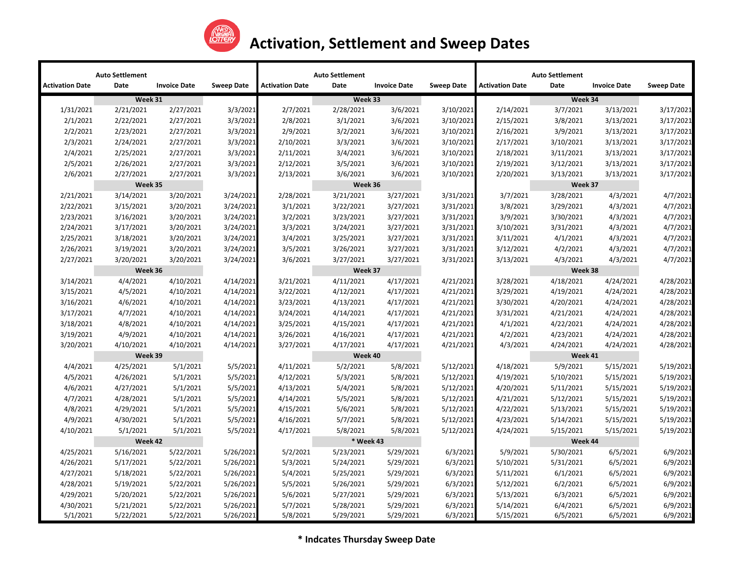

|                        | <b>Auto Settlement</b> |                     |                   |                        | <b>Auto Settlement</b> |                     |                   |                        | <b>Auto Settlement</b> |                     |                   |
|------------------------|------------------------|---------------------|-------------------|------------------------|------------------------|---------------------|-------------------|------------------------|------------------------|---------------------|-------------------|
| <b>Activation Date</b> | Date                   | <b>Invoice Date</b> | <b>Sweep Date</b> | <b>Activation Date</b> | Date                   | <b>Invoice Date</b> | <b>Sweep Date</b> | <b>Activation Date</b> | Date                   | <b>Invoice Date</b> | <b>Sweep Date</b> |
|                        | Week 31                |                     |                   | Week 33                |                        |                     |                   | Week 34                |                        |                     |                   |
| 1/31/2021              | 2/21/2021              | 2/27/2021           | 3/3/2021          | 2/7/2021               | 2/28/2021              | 3/6/2021            | 3/10/2021         | 2/14/2021              | 3/7/2021               | 3/13/2021           | 3/17/2021         |
| 2/1/2021               | 2/22/2021              | 2/27/2021           | 3/3/2021          | 2/8/2021               | 3/1/2021               | 3/6/2021            | 3/10/2021         | 2/15/2021              | 3/8/2021               | 3/13/2021           | 3/17/2021         |
| 2/2/2021               | 2/23/2021              | 2/27/2021           | 3/3/2021          | 2/9/2021               | 3/2/2021               | 3/6/2021            | 3/10/2021         | 2/16/2021              | 3/9/2021               | 3/13/2021           | 3/17/2021         |
| 2/3/2021               | 2/24/2021              | 2/27/2021           | 3/3/2021          | 2/10/2021              | 3/3/2021               | 3/6/2021            | 3/10/2021         | 2/17/2021              | 3/10/2021              | 3/13/2021           | 3/17/2021         |
| 2/4/2021               | 2/25/2021              | 2/27/2021           | 3/3/2021          | 2/11/2021              | 3/4/2021               | 3/6/2021            | 3/10/2021         | 2/18/2021              | 3/11/2021              | 3/13/2021           | 3/17/2021         |
| 2/5/2021               | 2/26/2021              | 2/27/2021           | 3/3/2021          | 2/12/2021              | 3/5/2021               | 3/6/2021            | 3/10/2021         | 2/19/2021              | 3/12/2021              | 3/13/2021           | 3/17/2021         |
| 2/6/2021               | 2/27/2021              | 2/27/2021           | 3/3/2021          | 2/13/2021              | 3/6/2021               | 3/6/2021            | 3/10/2021         | 2/20/2021              | 3/13/2021              | 3/13/2021           | 3/17/2021         |
|                        | Week 35                |                     |                   |                        | Week 36                |                     |                   |                        | Week 37                |                     |                   |
| 2/21/2021              | 3/14/2021              | 3/20/2021           | 3/24/2021         | 2/28/2021              | 3/21/2021              | 3/27/2021           | 3/31/2021         | 3/7/2021               | 3/28/2021              | 4/3/2021            | 4/7/2021          |
| 2/22/2021              | 3/15/2021              | 3/20/2021           | 3/24/2021         | 3/1/2021               | 3/22/2021              | 3/27/2021           | 3/31/2021         | 3/8/2021               | 3/29/2021              | 4/3/2021            | 4/7/2021          |
| 2/23/2021              | 3/16/2021              | 3/20/2021           | 3/24/2021         | 3/2/2021               | 3/23/2021              | 3/27/2021           | 3/31/2021         | 3/9/2021               | 3/30/2021              | 4/3/2021            | 4/7/2021          |
| 2/24/2021              | 3/17/2021              | 3/20/2021           | 3/24/2021         | 3/3/2021               | 3/24/2021              | 3/27/2021           | 3/31/2021         | 3/10/2021              | 3/31/2021              | 4/3/2021            | 4/7/2021          |
| 2/25/2021              | 3/18/2021              | 3/20/2021           | 3/24/2021         | 3/4/2021               | 3/25/2021              | 3/27/2021           | 3/31/2021         | 3/11/2021              | 4/1/2021               | 4/3/2021            | 4/7/2021          |
| 2/26/2021              | 3/19/2021              | 3/20/2021           | 3/24/2021         | 3/5/2021               | 3/26/2021              | 3/27/2021           | 3/31/2021         | 3/12/2021              | 4/2/2021               | 4/3/2021            | 4/7/2021          |
| 2/27/2021              | 3/20/2021              | 3/20/2021           | 3/24/2021         | 3/6/2021               | 3/27/2021              | 3/27/2021           | 3/31/2021         | 3/13/2021              | 4/3/2021               | 4/3/2021            | 4/7/2021          |
|                        | Week 36                |                     |                   | Week 37                |                        |                     |                   | Week 38                |                        |                     |                   |
| 3/14/2021              | 4/4/2021               | 4/10/2021           | 4/14/2021         | 3/21/2021              | 4/11/2021              | 4/17/2021           | 4/21/2021         | 3/28/2021              | 4/18/2021              | 4/24/2021           | 4/28/2021         |
| 3/15/2021              | 4/5/2021               | 4/10/2021           | 4/14/2021         | 3/22/2021              | 4/12/2021              | 4/17/2021           | 4/21/2021         | 3/29/2021              | 4/19/2021              | 4/24/2021           | 4/28/2021         |
| 3/16/2021              | 4/6/2021               | 4/10/2021           | 4/14/2021         | 3/23/2021              | 4/13/2021              | 4/17/2021           | 4/21/2021         | 3/30/2021              | 4/20/2021              | 4/24/2021           | 4/28/2021         |
| 3/17/2021              | 4/7/2021               | 4/10/2021           | 4/14/2021         | 3/24/2021              | 4/14/2021              | 4/17/2021           | 4/21/2021         | 3/31/2021              | 4/21/2021              | 4/24/2021           | 4/28/2021         |
| 3/18/2021              | 4/8/2021               | 4/10/2021           | 4/14/2021         | 3/25/2021              | 4/15/2021              | 4/17/2021           | 4/21/2021         | 4/1/2021               | 4/22/2021              | 4/24/2021           | 4/28/2021         |
| 3/19/2021              | 4/9/2021               | 4/10/2021           | 4/14/2021         | 3/26/2021              | 4/16/2021              | 4/17/2021           | 4/21/2021         | 4/2/2021               | 4/23/2021              | 4/24/2021           | 4/28/2021         |
| 3/20/2021              | 4/10/2021              | 4/10/2021           | 4/14/2021         | 3/27/2021              | 4/17/2021              | 4/17/2021           | 4/21/2021         | 4/3/2021               | 4/24/2021              | 4/24/2021           | 4/28/2021         |
|                        | Week 39                |                     |                   | Week 40                |                        |                     |                   | Week 41                |                        |                     |                   |
| 4/4/2021               | 4/25/2021              | 5/1/2021            | 5/5/2021          | 4/11/2021              | 5/2/2021               | 5/8/2021            | 5/12/2021         | 4/18/2021              | 5/9/2021               | 5/15/2021           | 5/19/2021         |
| 4/5/2021               | 4/26/2021              | 5/1/2021            | 5/5/2021          | 4/12/2021              | 5/3/2021               | 5/8/2021            | 5/12/2021         | 4/19/2021              | 5/10/2021              | 5/15/2021           | 5/19/2021         |
| 4/6/2021               | 4/27/2021              | 5/1/2021            | 5/5/2021          | 4/13/2021              | 5/4/2021               | 5/8/2021            | 5/12/2021         | 4/20/2021              | 5/11/2021              | 5/15/2021           | 5/19/2021         |
| 4/7/2021               | 4/28/2021              | 5/1/2021            | 5/5/2021          | 4/14/2021              | 5/5/2021               | 5/8/2021            | 5/12/2021         | 4/21/2021              | 5/12/2021              | 5/15/2021           | 5/19/2021         |
| 4/8/2021               | 4/29/2021              | 5/1/2021            | 5/5/2021          | 4/15/2021              | 5/6/2021               | 5/8/2021            | 5/12/2021         | 4/22/2021              | 5/13/2021              | 5/15/2021           | 5/19/2021         |
| 4/9/2021               | 4/30/2021              | 5/1/2021            | 5/5/2021          | 4/16/2021              | 5/7/2021               | 5/8/2021            | 5/12/2021         | 4/23/2021              | 5/14/2021              | 5/15/2021           | 5/19/2021         |
| 4/10/2021              | 5/1/2021               | 5/1/2021            | 5/5/2021          | 4/17/2021              | 5/8/2021               | 5/8/2021            | 5/12/2021         | 4/24/2021              | 5/15/2021              | 5/15/2021           | 5/19/2021         |
|                        | Week 42                |                     |                   |                        | * Week 43              |                     |                   |                        | Week 44                |                     |                   |
| 4/25/2021              | 5/16/2021              | 5/22/2021           | 5/26/2021         | 5/2/2021               | 5/23/2021              | 5/29/2021           | 6/3/2021          | 5/9/2021               | 5/30/2021              | 6/5/2021            | 6/9/2021          |
| 4/26/2021              | 5/17/2021              | 5/22/2021           | 5/26/2021         | 5/3/2021               | 5/24/2021              | 5/29/2021           | 6/3/2021          | 5/10/2021              | 5/31/2021              | 6/5/2021            | 6/9/2021          |
| 4/27/2021              | 5/18/2021              | 5/22/2021           | 5/26/2021         | 5/4/2021               | 5/25/2021              | 5/29/2021           | 6/3/2021          | 5/11/2021              | 6/1/2021               | 6/5/2021            | 6/9/2021          |
| 4/28/2021              | 5/19/2021              | 5/22/2021           | 5/26/2021         | 5/5/2021               | 5/26/2021              | 5/29/2021           | 6/3/2021          | 5/12/2021              | 6/2/2021               | 6/5/2021            | 6/9/2021          |
| 4/29/2021              | 5/20/2021              | 5/22/2021           | 5/26/2021         | 5/6/2021               | 5/27/2021              | 5/29/2021           | 6/3/2021          | 5/13/2021              | 6/3/2021               | 6/5/2021            | 6/9/2021          |
| 4/30/2021              | 5/21/2021              | 5/22/2021           | 5/26/2021         | 5/7/2021               | 5/28/2021              | 5/29/2021           | 6/3/2021          | 5/14/2021              | 6/4/2021               | 6/5/2021            | 6/9/2021          |
| 5/1/2021               | 5/22/2021              | 5/22/2021           | 5/26/2021         | 5/8/2021               | 5/29/2021              | 5/29/2021           | 6/3/2021          | 5/15/2021              | 6/5/2021               | 6/5/2021            | 6/9/2021          |

**\* Indcates Thursday Sweep Date**